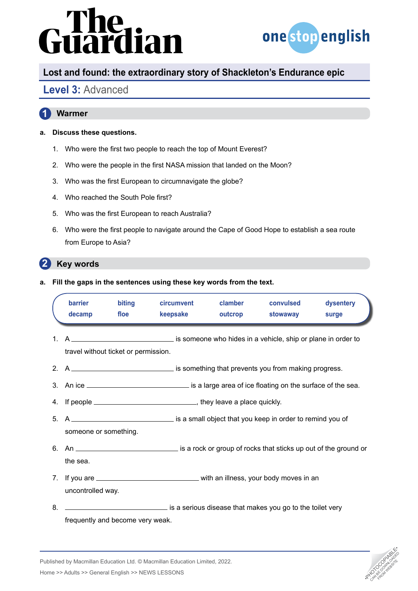# The<br>uardian



# **Lost and found: the extraordinary story of Shackleton's Endurance epic**

## **Level 3:** Advanced

### **1 Warmer**

### **a. Discuss these questions.**

- 1. Who were the first two people to reach the top of Mount Everest?
- 2. Who were the people in the first NASA mission that landed on the Moon?
- 3. Who was the first European to circumnavigate the globe?
- 4. Who reached the South Pole first?
- 5. Who was the first European to reach Australia?
- 6. Who were the first people to navigate around the Cape of Good Hope to establish a sea route from Europe to Asia?

### **2 Key words**

**a. Fill the gaps in the sentences using these key words from the text.**

|                | barrier<br>decamp                    | biting<br>floe | circumvent<br>keepsake                                                                      | clamber<br>outcrop | convulsed<br>stowaway | dysentery<br>surge |
|----------------|--------------------------------------|----------------|---------------------------------------------------------------------------------------------|--------------------|-----------------------|--------------------|
| 1 <sup>1</sup> | travel without ticket or permission. |                |                                                                                             |                    |                       |                    |
|                |                                      |                | 2. A _________________________________ is something that prevents you from making progress. |                    |                       |                    |
|                |                                      |                |                                                                                             |                    |                       |                    |
|                |                                      |                |                                                                                             |                    |                       |                    |
|                | someone or something.                |                |                                                                                             |                    |                       |                    |
|                | the sea.                             |                |                                                                                             |                    |                       |                    |
|                | uncontrolled way.                    |                |                                                                                             |                    |                       |                    |
| 8.             |                                      |                | is a serious disease that makes you go to the toilet very                                   |                    |                       |                    |

frequently and become very weak.

Published by Macmillan Education Ltd. © Macmillan Education Limited, 2022.

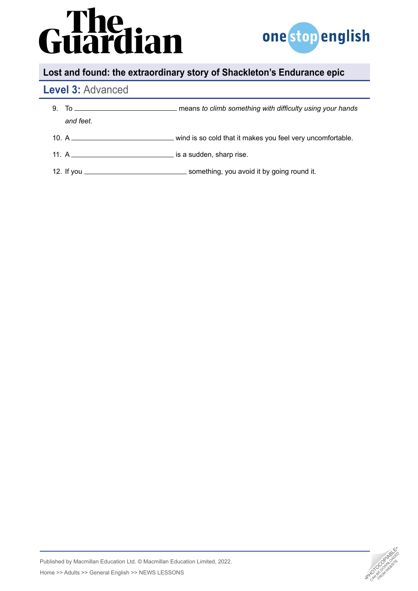# **Guardian**



# **Lost and found: the extraordinary story of Shackleton's Endurance epic**

## **Level 3:** Advanced

| 9. |           |  |
|----|-----------|--|
|    | and feet. |  |
|    |           |  |
|    |           |  |
|    |           |  |

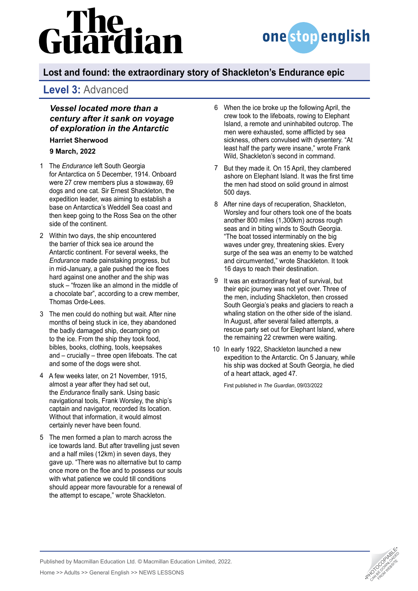# lian



# **Lost and found: the extraordinary story of Shackleton's Endurance epic**

## **Level 3:** Advanced

*Vessel located more than a century after it sank on voyage of exploration in the Antarctic*

**[Harriet Sherwood](https://www.theguardian.com/profile/harrietsherwood)**

**9 March, 2022** 

- The *Endurance* left South Georgia 1 for [Antarctica](https://www.theguardian.com/world/antarctica) on 5 December, 1914. Onboard were 27 crew members plus a stowaway, 69 dogs and one cat. Sir Ernest Shackleton, the expedition leader, was aiming to establish a base on Antarctica's Weddell Sea coast and then keep going to the Ross Sea on the other side of the continent.
- Within two days, the ship encountered 2 the barrier of thick sea ice around the Antarctic continent. For several weeks, [the](https://www.theguardian.com/uk-news/gallery/2022/mar/09/sir-ernest-shackletons-ship-endurance-found-in-pictures)  *[Endurance](https://www.theguardian.com/uk-news/gallery/2022/mar/09/sir-ernest-shackletons-ship-endurance-found-in-pictures)* made painstaking progress, but in mid-January, a gale pushed the ice floes hard against one another and the ship was stuck – "frozen like an almond in the middle of a chocolate bar", according to a crew member, Thomas Orde-Lees.
- The men could do nothing but wait. After nine 3 months of being stuck in ice, they abandoned the badly damaged ship, decamping on to the ice. From the ship they took food, bibles, books, clothing, tools, keepsakes and – crucially – three open lifeboats. The cat and some of the dogs were shot.
- A few weeks later, on 21 November, 1915, 4 almost a year after they had set out, the *Endurance* [finally sank.](https://www.theguardian.com/world/2022/mar/09/ernest-shackleton-wrecked-ship-endurance-antarctic) Using basic navigational tools, Frank Worsley, the ship's captain and navigator, recorded its location. Without that information, it would almost certainly never have been found.
- The men formed a plan to march across the 5 ice towards land. But after travelling just seven and a half miles (12km) in seven days, they gave up. "There was no alternative but to camp once more on the floe and to possess our souls with what patience we could till conditions should appear more favourable for a renewal of the attempt to escape," wrote Shackleton.
- When the ice broke up the following April, the 6 crew took to the lifeboats, rowing to Elephant Island, a remote and uninhabited outcrop. The men were exhausted, some afflicted by sea sickness, others convulsed with dysentery. "At least half the party were insane," wrote Frank Wild, Shackleton's second in command.
- 7 But they made it. On 15 April, they clambered ashore on Elephant Island. It was the first time the men had stood on solid ground in almost 500 days.
- After nine days of recuperation, Shackleton, 8 Worsley and four others took one of the boats another 800 miles (1,300km) across rough seas and in biting winds to South Georgia. "The boat tossed interminably on the big waves under grey, threatening skies. Every surge of the sea was an enemy to be watched and circumvented," wrote Shackleton. It took 16 days to reach their destination.
- 9 It was an extraordinary feat of survival, but their epic journey was not yet over. Three of the men, including Shackleton, then crossed South Georgia's peaks and glaciers to reach a whaling station on the other side of the island. In August, after several failed attempts, a rescue party set out for Elephant Island, where the remaining 22 crewmen were waiting.
- In early 1922, Shackleton launched a new 10expedition to the Antarctic. On 5 January, while his ship was docked at South Georgia, he [died](https://www.theguardian.com/world/2022/jan/28/ernest-shackleton-dies-at-sea-archive-1922)  [of a heart attack,](https://www.theguardian.com/world/2022/jan/28/ernest-shackleton-dies-at-sea-archive-1922) aged 47.

First published in *The Guardian*, 09/03/2022



Published by Macmillan Education Ltd. © Macmillan Education Limited, 2022.

Home >> Adults >> General English >> NEWS LESSONS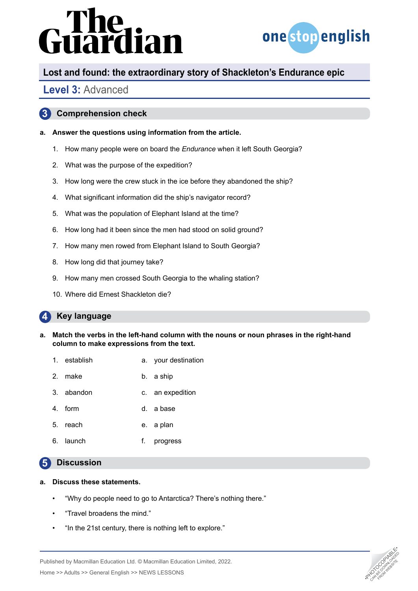# irdian



# **Lost and found: the extraordinary story of Shackleton's Endurance epic**

## **Level 3:** Advanced

### **3 Comprehension check**

### **a. Answer the questions using information from the article.**

- 1. How many people were on board the *Endurance* when it left South Georgia?
- 2. What was the purpose of the expedition?
- 3. How long were the crew stuck in the ice before they abandoned the ship?
- 4. What significant information did the ship's navigator record?
- 5. What was the population of Elephant Island at the time?
- 6. How long had it been since the men had stood on solid ground?
- 7. How many men rowed from Elephant Island to South Georgia?
- 8. How long did that journey take?
- 9. How many men crossed South Georgia to the whaling station?
- 10. Where did Ernest Shackleton die?

### **4 Key language**

- **a. Match the verbs in the left-hand column with the nouns or noun phrases in the right-hand column to make expressions from the text.**
	- 1. establish a. your destination
	- 2. make b. a ship
	- 3. abandon c. an expedition
	- 4. form d. a base
	- 5. reach e. a plan
	- 6. launch f. progress

### **5 Discussion**

### **a. Discuss these statements.**

- "Why do people need to go to Antarctica? There's nothing there."
- "Travel broadens the mind."
- "In the 21st century, there is nothing left to explore."



Home >> Adults >> General English >> NEWS LESSONS